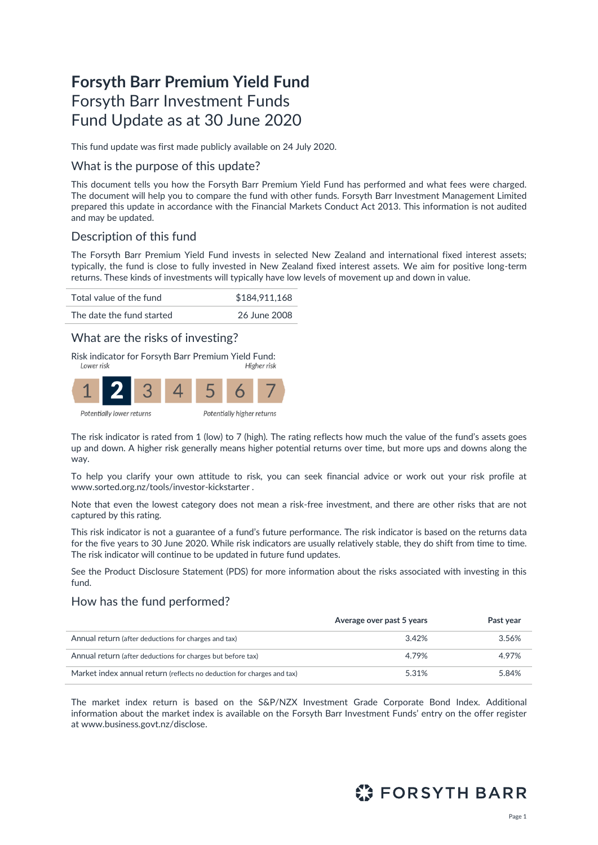# **Forsyth Barr Premium Yield Fund** Forsyth Barr Investment Funds Fund Update as at 30 June 2020

This fund update was first made publicly available on 24 July 2020.

## What is the purpose of this update?

This document tells you how the Forsyth Barr Premium Yield Fund has performed and what fees were charged. The document will help you to compare the fund with other funds. Forsyth Barr Investment Management Limited prepared this update in accordance with the Financial Markets Conduct Act 2013. This information is not audited and may be updated.

# Description of this fund

The Forsyth Barr Premium Yield Fund invests in selected New Zealand and international fixed interest assets; typically, the fund is close to fully invested in New Zealand fixed interest assets. We aim for positive long-term returns. These kinds of investments will typically have low levels of movement up and down in value.



## What are the risks of investing?

Risk indicator for Forsyth Barr Premium Yield Fund:



The risk indicator is rated from 1 (low) to 7 (high). The rating reflects how much the value of the fund's assets goes up and down. A higher risk generally means higher potential returns over time, but more ups and downs along the way.

To help you clarify your own attitude to risk, you can seek financial advice or work out your risk profile at [www.sorted.org.nz/tools/investor-kickstarter](http://www.sorted.org.nz/tools/investor-kickstarter) .

Note that even the lowest category does not mean a risk-free investment, and there are other risks that are not captured by this rating.

This risk indicator is not a guarantee of a fund's future performance. The risk indicator is based on the returns data for the five years to 30 June 2020. While risk indicators are usually relatively stable, they do shift from time to time. The risk indicator will continue to be updated in future fund updates.

See the Product Disclosure Statement (PDS) for more information about the risks associated with investing in this fund.

## How has the fund performed?

|                                                                        | Average over past 5 years | Past year |
|------------------------------------------------------------------------|---------------------------|-----------|
| Annual return (after deductions for charges and tax)                   | 3.42%                     | 3.56%     |
| Annual return (after deductions for charges but before tax)            | 4.79%                     | 4.97%     |
| Market index annual return (reflects no deduction for charges and tax) | 5.31%                     | 5.84%     |

The market index return is based on the S&P/NZX Investment Grade Corporate Bond Index. Additional information about the market index is available on the Forsyth Barr Investment Funds' entry on the offer register at [www.business.govt.nz/disclose.](http://www.business.govt.nz/disclose)

# **ET FORSYTH BARR**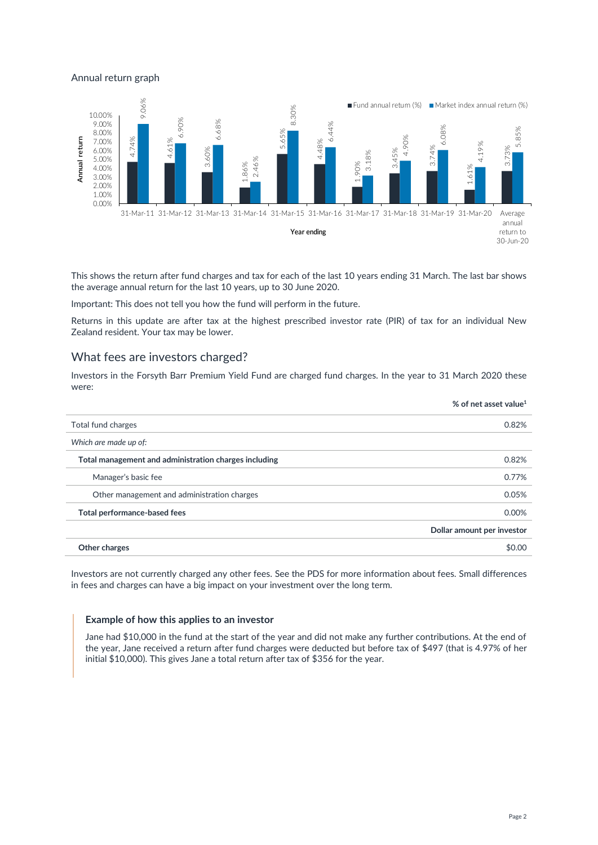#### Annual return graph



This shows the return after fund charges and tax for each of the last 10 years ending 31 March. The last bar shows the average annual return for the last 10 years, up to 30 June 2020.

Important: This does not tell you how the fund will perform in the future.

Returns in this update are after tax at the highest prescribed investor rate (PIR) of tax for an individual New Zealand resident. Your tax may be lower.

## What fees are investors charged?

Investors in the Forsyth Barr Premium Yield Fund are charged fund charges. In the year to 31 March 2020 these were:

|                                                       | % of net asset value <sup>1</sup> |
|-------------------------------------------------------|-----------------------------------|
| Total fund charges                                    | 0.82%                             |
| Which are made up of:                                 |                                   |
| Total management and administration charges including | 0.82%                             |
| Manager's basic fee                                   | 0.77%                             |
| Other management and administration charges           | 0.05%                             |
| Total performance-based fees                          | 0.00%                             |
|                                                       | Dollar amount per investor        |
| Other charges                                         | \$0.00                            |
|                                                       |                                   |

Investors are not currently charged any other fees. See the PDS for more information about fees. Small differences in fees and charges can have a big impact on your investment over the long term.

#### **Example of how this applies to an investor**

Jane had \$10,000 in the fund at the start of the year and did not make any further contributions. At the end of the year, Jane received a return after fund charges were deducted but before tax of \$497 (that is 4.97% of her initial \$10,000). This gives Jane a total return after tax of \$356 for the year.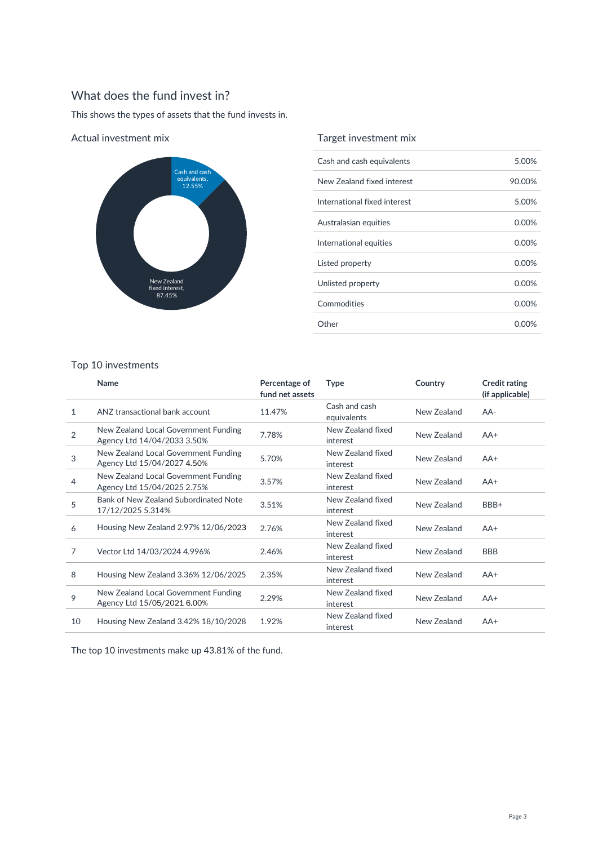# What does the fund invest in?

This shows the types of assets that the fund invests in.



### Actual investment mix

## Target investment mix

| Cash and cash equivalents    | 5.00%    |
|------------------------------|----------|
| New Zealand fixed interest   | 90.00%   |
| International fixed interest | 5.00%    |
| Australasian equities        | $0.00\%$ |
| International equities       | 0.00%    |
| Listed property              | 0.00%    |
| Unlisted property            | $0.00\%$ |
| Commodities                  | 0.00%    |
| Other                        | 0.00%    |

## Top 10 investments

|                | <b>Name</b>                                                         | Percentage of<br>fund net assets | <b>Type</b>                   | Country     | <b>Credit rating</b><br>(if applicable) |
|----------------|---------------------------------------------------------------------|----------------------------------|-------------------------------|-------------|-----------------------------------------|
| 1              | ANZ transactional bank account                                      | 11.47%                           | Cash and cash<br>equivalents  | New Zealand | $AA-$                                   |
| $\overline{2}$ | New Zealand Local Government Funding<br>Agency Ltd 14/04/2033 3.50% | 7.78%                            | New Zealand fixed<br>interest | New Zealand | $AA+$                                   |
| 3              | New Zealand Local Government Funding<br>Agency Ltd 15/04/2027 4.50% | 5.70%                            | New Zealand fixed<br>interest | New Zealand | $AA+$                                   |
| 4              | New Zealand Local Government Funding<br>Agency Ltd 15/04/2025 2.75% | 3.57%                            | New Zealand fixed<br>interest | New Zealand | $AA+$                                   |
| 5              | Bank of New Zealand Subordinated Note<br>17/12/2025 5.314%          | 3.51%                            | New Zealand fixed<br>interest | New Zealand | BBB+                                    |
| 6              | Housing New Zealand 2.97% 12/06/2023                                | 2.76%                            | New Zealand fixed<br>interest | New Zealand | $AA+$                                   |
| 7              | Vector Ltd 14/03/2024 4.996%                                        | 2.46%                            | New Zealand fixed<br>interest | New Zealand | <b>BBB</b>                              |
| 8              | Housing New Zealand 3.36% 12/06/2025                                | 2.35%                            | New Zealand fixed<br>interest | New Zealand | $AA+$                                   |
| 9              | New Zealand Local Government Funding<br>Agency Ltd 15/05/2021 6.00% | 2.29%                            | New Zealand fixed<br>interest | New Zealand | $AA+$                                   |
| 10             | Housing New Zealand 3.42% 18/10/2028                                | 1.92%                            | New Zealand fixed<br>interest | New Zealand | $AA+$                                   |

The top 10 investments make up 43.81% of the fund.